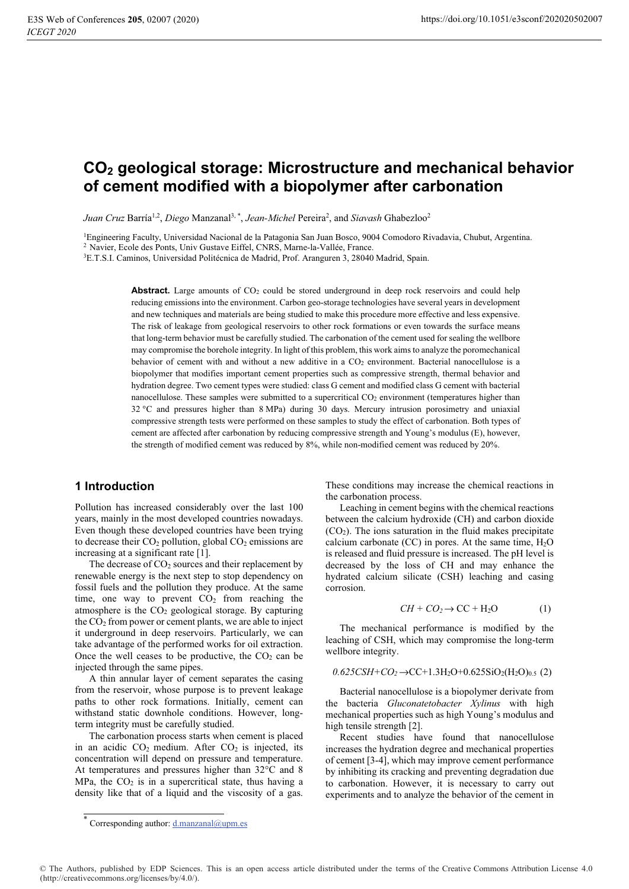# CO<sub>2</sub> geological storage: Microstructure and mechanical behavior of cement modified with a biopolymer after carbonation

Juan Cruz Barría<sup>1,2</sup>, Diego Manzanal<sup>3,\*</sup>, Jean-Michel Pereira<sup>2</sup>, and Siavash Ghabezloo<sup>2</sup>

<sup>1</sup>Engineering Faculty, Universidad Nacional de la Patagonia San Juan Bosco, 9004 Comodoro Rivadavia, Chubut, Argentina. <sup>2</sup> Navier, Ecole des Ponts, Univ Gustave Eiffel, CNRS, Marne-la-Vallée, France.

<sup>3</sup>E.T.S.I. Caminos, Universidad Politécnica de Madrid, Prof. Aranguren 3, 28040 Madrid, Spain.

**Abstract.** Large amounts of CO<sub>2</sub> could be stored underground in deep rock reservoirs and could help reducing emissions into the environment. Carbon geo-storage technologies have several years in development and new techniques and materials are being studied to make this procedure more effective and less expensive. The risk of leakage from geological reservoirs to other rock formations or even towards the surface means that long-term behavior must be carefully studied. The carbonation of the cement used for sealing the wellbore may compromise the borehole integrity. In light of this problem, this work aims to analyze the poromechanical behavior of cement with and without a new additive in a  $CO<sub>2</sub>$  environment. Bacterial nanocellulose is a biopolymer that modifies important cement properties such as compressive strength, thermal behavior and hydration degree. Two cement types were studied: class G cement and modified class G cement with bacterial nanocellulose. These samples were submitted to a supercritical CO<sub>2</sub> environment (temperatures higher than 32 °C and pressures higher than 8 MPa) during 30 days. Mercury intrusion porosimetry and uniaxial compressive strength tests were performed on these samples to study the effect of carbonation. Both types of cement are affected after carbonation by reducing compressive strength and Young's modulus (E), however, the strength of modified cement was reduced by 8%, while non-modified cement was reduced by 20%.

#### 1 Introduction

Pollution has increased considerably over the last 100 vears, mainly in the most developed countries nowadays. Even though these developed countries have been trying to decrease their  $CO<sub>2</sub>$  pollution, global  $CO<sub>2</sub>$  emissions are increasing at a significant rate [1].

The decrease of  $CO<sub>2</sub>$  sources and their replacement by renewable energy is the next step to stop dependency on fossil fuels and the pollution they produce. At the same time, one way to prevent  $CO<sub>2</sub>$  from reaching the atmosphere is the  $CO<sub>2</sub>$  geological storage. By capturing the  $CO<sub>2</sub>$  from power or cement plants, we are able to inject it underground in deep reservoirs. Particularly, we can take advantage of the performed works for oil extraction. Once the well ceases to be productive, the  $CO<sub>2</sub>$  can be injected through the same pipes.

A thin annular laver of cement separates the casing from the reservoir, whose purpose is to prevent leakage paths to other rock formations. Initially, cement can withstand static downhole conditions. However, longterm integrity must be carefully studied.

The carbonation process starts when cement is placed in an acidic  $CO<sub>2</sub>$  medium. After  $CO<sub>2</sub>$  is injected, its concentration will depend on pressure and temperature. At temperatures and pressures higher than 32 °C and 8 MPa, the  $CO<sub>2</sub>$  is in a supercritical state, thus having a density like that of a liquid and the viscosity of a gas. These conditions may increase the chemical reactions in the carbonation process.

Leaching in cement begins with the chemical reactions between the calcium hydroxide (CH) and carbon dioxide  $(CO<sub>2</sub>)$ . The ions saturation in the fluid makes precipitate calcium carbonate (CC) in pores. At the same time,  $H_2O$ is released and fluid pressure is increased. The pH level is decreased by the loss of CH and may enhance the hydrated calcium silicate (CSH) leaching and casing corrosion.

$$
CH + CO2 \to CC + H2O
$$
 (1)

The mechanical performance is modified by the leaching of CSH, which may compromise the long-term wellbore integrity.

$$
0.625\text{CSH} + \text{CO}_2 \rightarrow \text{CC} + 1.3\text{H}_2\text{O} + 0.625\text{SiO}_2(\text{H}_2\text{O})_{0.5}
$$
 (2)

Bacterial nanocellulose is a biopolymer derivate from the bacteria Gluconatetobacter Xylinus with high mechanical properties such as high Young's modulus and high tensile strength [2].

Recent studies have found that nanocellulose increases the hydration degree and mechanical properties of cement [3-4], which may improve cement performance by inhibiting its cracking and preventing degradation due to carbonation. However, it is necessary to carry out experiments and to analyze the behavior of the cement in

<sup>\*</sup> Corresponding author: <u>d.manzanal@upm.es</u>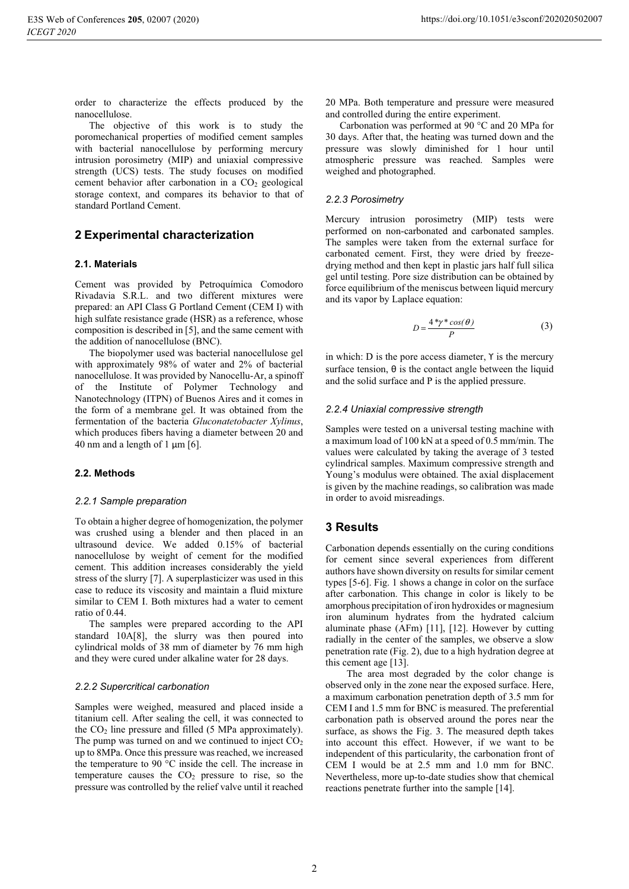order to characterize the effects produced by the nanocellulose.

The objective of this work is to study the poromechanical properties of modified cement samples with bacterial nanocellulose by performing mercury intrusion porosimetry (MIP) and uniaxial compressive strength (UCS) tests. The study focuses on modified cement behavior after carbonation in a CO<sub>2</sub> geological storage context, and compares its behavior to that of standard Portland Cement.

## 2 Experimental characterization

#### 2.1. Materials

Cement was provided by Petroquímica Comodoro Rivadavia S.R.L. and two different mixtures were prepared: an API Class G Portland Cement (CEM I) with high sulfate resistance grade (HSR) as a reference, whose composition is described in [5], and the same cement with the addition of nanocellulose (BNC).

The biopolymer used was bacterial nanocellulose gel with approximately 98% of water and 2% of bacterial nanocellulose. It was provided by Nanocellu-Ar, a spinoff of the Institute of Polymer Technology and Nanotechnology (ITPN) of Buenos Aires and it comes in the form of a membrane gel. It was obtained from the fermentation of the bacteria Gluconatetobacter Xylinus, which produces fibers having a diameter between 20 and 40 nm and a length of 1  $\mu$ m [6].

#### 2.2. Methods

#### 2.2.1 Sample preparation

To obtain a higher degree of homogenization, the polymer was crushed using a blender and then placed in an ultrasound device. We added 0.15% of bacterial nanocellulose by weight of cement for the modified cement. This addition increases considerably the yield stress of the slurry [7]. A superplasticizer was used in this case to reduce its viscosity and maintain a fluid mixture similar to CEM I. Both mixtures had a water to cement ratio of 0.44.

The samples were prepared according to the API standard 10A[8], the slurry was then poured into cylindrical molds of 38 mm of diameter by 76 mm high and they were cured under alkaline water for 28 days.

#### 2.2.2 Supercritical carbonation

Samples were weighed, measured and placed inside a titanium cell. After sealing the cell, it was connected to the  $CO<sub>2</sub>$  line pressure and filled (5 MPa approximately). The pump was turned on and we continued to inject  $CO<sub>2</sub>$ up to 8MPa. Once this pressure was reached, we increased the temperature to 90 °C inside the cell. The increase in temperature causes the  $CO<sub>2</sub>$  pressure to rise, so the pressure was controlled by the relief valve until it reached 20 MPa. Both temperature and pressure were measured and controlled during the entire experiment.

Carbonation was performed at 90 °C and 20 MPa for 30 days. After that, the heating was turned down and the pressure was slowly diminished for 1 hour until atmospheric pressure was reached. Samples were weighed and photographed.

#### 2.2.3 Porosimetry

Mercury intrusion porosimetry (MIP) tests were performed on non-carbonated and carbonated samples. The samples were taken from the external surface for carbonated cement. First, they were dried by freezedrying method and then kept in plastic jars half full silical gel until testing. Pore size distribution can be obtained by force equilibrium of the meniscus between liquid mercury and its vapor by Laplace equation:

$$
D = \frac{4 \sqrt[4]{r} \cos(\theta)}{P}
$$
 (3)

in which:  $D$  is the pore access diameter,  $\gamma$  is the mercury surface tension,  $\theta$  is the contact angle between the liquid and the solid surface and P is the applied pressure.

#### 2.2.4 Uniaxial compressive strength

Samples were tested on a universal testing machine with a maximum load of 100 kN at a speed of 0.5 mm/min. The values were calculated by taking the average of 3 tested cylindrical samples. Maximum compressive strength and Young's modulus were obtained. The axial displacement is given by the machine readings, so calibration was made in order to avoid misreadings.

## **3 Results**

Carbonation depends essentially on the curing conditions for cement since several experiences from different authors have shown diversity on results for similar cement types [5-6]. Fig. 1 shows a change in color on the surface after carbonation. This change in color is likely to be amorphous precipitation of iron hydroxides or magnesium iron aluminum hydrates from the hydrated calcium aluminate phase (AFm) [11], [12]. However by cutting radially in the center of the samples, we observe a slow penetration rate (Fig. 2), due to a high hydration degree at this cement age [13].

The area most degraded by the color change is observed only in the zone near the exposed surface. Here, a maximum carbonation penetration depth of 3.5 mm for CEM I and 1.5 mm for BNC is measured. The preferential carbonation path is observed around the pores near the surface, as shows the Fig. 3. The measured depth takes into account this effect. However, if we want to be independent of this particularity, the carbonation front of CEM I would be at 2.5 mm and 1.0 mm for BNC. Nevertheless, more up-to-date studies show that chemical reactions penetrate further into the sample [14].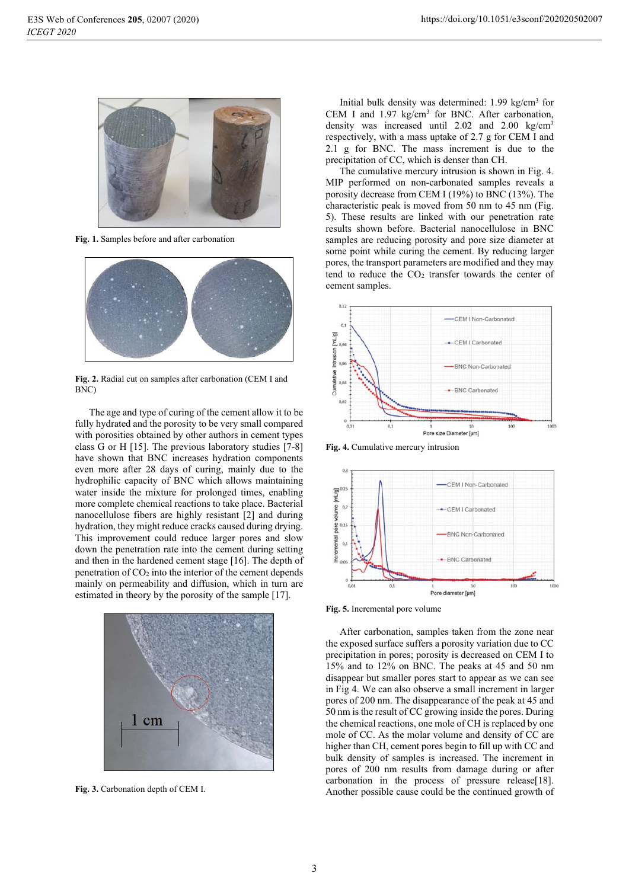

Fig. 1. Samples before and after carbonation



Fig. 2. Radial cut on samples after carbonation (CEM I and  $BNC$ 

The age and type of curing of the cement allow it to be fully hydrated and the porosity to be very small compared with porosities obtained by other authors in cement types class G or H  $[15]$ . The previous laboratory studies  $[7-8]$ have shown that BNC increases hydration components even more after 28 days of curing, mainly due to the hydrophilic capacity of BNC which allows maintaining water inside the mixture for prolonged times, enabling more complete chemical reactions to take place. Bacterial nanocellulose fibers are highly resistant [2] and during hydration, they might reduce cracks caused during drying. This improvement could reduce larger pores and slow down the penetration rate into the cement during setting and then in the hardened cement stage [16]. The depth of penetration of  $CO<sub>2</sub>$  into the interior of the cement depends mainly on permeability and diffusion, which in turn are estimated in theory by the porosity of the sample [17].



Fig. 3. Carbonation depth of CEM I.

Initial bulk density was determined:  $1.99 \text{ kg/cm}^3$  for CEM I and  $1.97 \text{ kg/cm}^3$  for BNC. After carbonation, density was increased until  $2.02$  and  $2.00$  kg/cm<sup>3</sup> respectively, with a mass uptake of 2.7 g for CEM I and 2.1 g for BNC. The mass increment is due to the precipitation of CC, which is denser than CH.

The cumulative mercury intrusion is shown in Fig. 4. MIP performed on non-carbonated samples reveals a porosity decrease from CEM I (19%) to BNC (13%). The characteristic peak is moved from 50 nm to 45 nm (Fig. 5). These results are linked with our penetration rate results shown before. Bacterial nanocellulose in BNC samples are reducing porosity and pore size diameter at some point while curing the cement. By reducing larger pores, the transport parameters are modified and they may tend to reduce the CO<sub>2</sub> transfer towards the center of cement samples.



Fig. 4. Cumulative mercury intrusion



Fig. 5. Incremental pore volume

After carbonation, samples taken from the zone near the exposed surface suffers a porosity variation due to CC precipitation in pores: porosity is decreased on CEM I to 15% and to 12% on BNC. The peaks at 45 and 50 nm disappear but smaller pores start to appear as we can see in Fig 4. We can also observe a small increment in larger pores of 200 nm. The disappearance of the peak at 45 and 50 nm is the result of CC growing inside the pores. During the chemical reactions, one mole of CH is replaced by one mole of CC. As the molar volume and density of CC are higher than CH, cement pores begin to fill up with CC and bulk density of samples is increased. The increment in pores of 200 nm results from damage during or after carbonation in the process of pressure release[18]. Another possible cause could be the continued growth of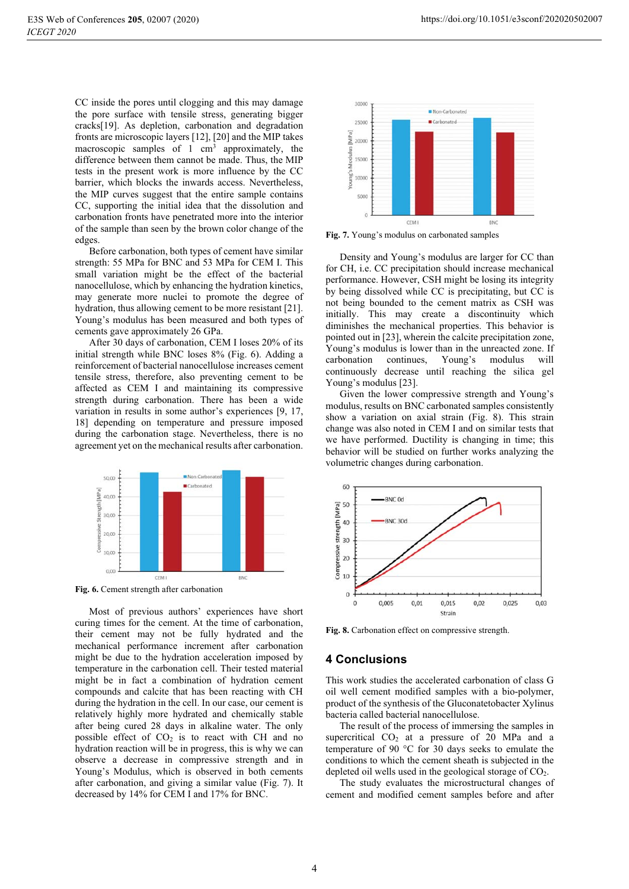CC inside the pores until clogging and this may damage the pore surface with tensile stress, generating bigger cracks[19]. As depletion, carbonation and degradation fronts are microscopic layers [12], [20] and the MIP takes macroscopic samples of 1 cm<sup>3</sup> approximately, the difference between them cannot be made. Thus, the MIP tests in the present work is more influence by the CC barrier, which blocks the inwards access. Nevertheless, the MIP curves suggest that the entire sample contains CC, supporting the initial idea that the dissolution and carbonation fronts have penetrated more into the interior of the sample than seen by the brown color change of the edges.

Before carbonation, both types of cement have similar strength: 55 MPa for BNC and 53 MPa for CEM I. This small variation might be the effect of the bacterial nanocellulose, which by enhancing the hydration kinetics, may generate more nuclei to promote the degree of hydration, thus allowing cement to be more resistant [21]. Young's modulus has been measured and both types of cements gave approximately 26 GPa.

After 30 days of carbonation, CEM I loses 20% of its initial strength while BNC loses 8% (Fig. 6). Adding a reinforcement of bacterial nanocellulose increases cement tensile stress, therefore, also preventing cement to be affected as CEM I and maintaining its compressive strength during carbonation. There has been a wide variation in results in some author's experiences [9, 17, 18] depending on temperature and pressure imposed during the carbonation stage. Nevertheless, there is no agreement yet on the mechanical results after carbonation.



Fig. 6. Cement strength after carbonation

Most of previous authors' experiences have short curing times for the cement. At the time of carbonation, their cement may not be fully hydrated and the mechanical performance increment after carbonation might be due to the hydration acceleration imposed by temperature in the carbonation cell. Their tested material might be in fact a combination of hydration cement compounds and calcite that has been reacting with CH during the hydration in the cell. In our case, our cement is relatively highly more hydrated and chemically stable after being cured 28 days in alkaline water. The only possible effect of  $CO<sub>2</sub>$  is to react with CH and no hydration reaction will be in progress, this is why we can observe a decrease in compressive strength and in Young's Modulus, which is observed in both cements after carbonation, and giving a similar value (Fig. 7). It decreased by 14% for CEM I and 17% for BNC.



Fig. 7. Young's modulus on carbonated samples

Density and Young's modulus are larger for CC than for CH, *i.e.* CC precipitation should increase mechanical performance. However, CSH might be losing its integrity by being dissolved while CC is precipitating, but CC is not being bounded to the cement matrix as CSH was initially. This may create a discontinuity which diminishes the mechanical properties. This behavior is pointed out in [23], wherein the calcite precipitation zone, Young's modulus is lower than in the unreacted zone. If carbonation Young's continues, modulus will continuously decrease until reaching the silica gel Young's modulus [23].

Given the lower compressive strength and Young's modulus, results on BNC carbonated samples consistently show a variation on axial strain (Fig. 8). This strain change was also noted in CEM I and on similar tests that we have performed. Ductility is changing in time; this behavior will be studied on further works analyzing the volumetric changes during carbonation.



Fig. 8. Carbonation effect on compressive strength.

#### **4 Conclusions**

This work studies the accelerated carbonation of class G oil well cement modified samples with a bio-polymer, product of the synthesis of the Gluconatetobacter Xylinus bacteria called bacterial nanocellulose.

The result of the process of immersing the samples in supercritical  $CO<sub>2</sub>$  at a pressure of 20 MPa and a temperature of 90 °C for 30 days seeks to emulate the conditions to which the cement sheath is subjected in the depleted oil wells used in the geological storage of  $CO<sub>2</sub>$ .

The study evaluates the microstructural changes of cement and modified cement samples before and after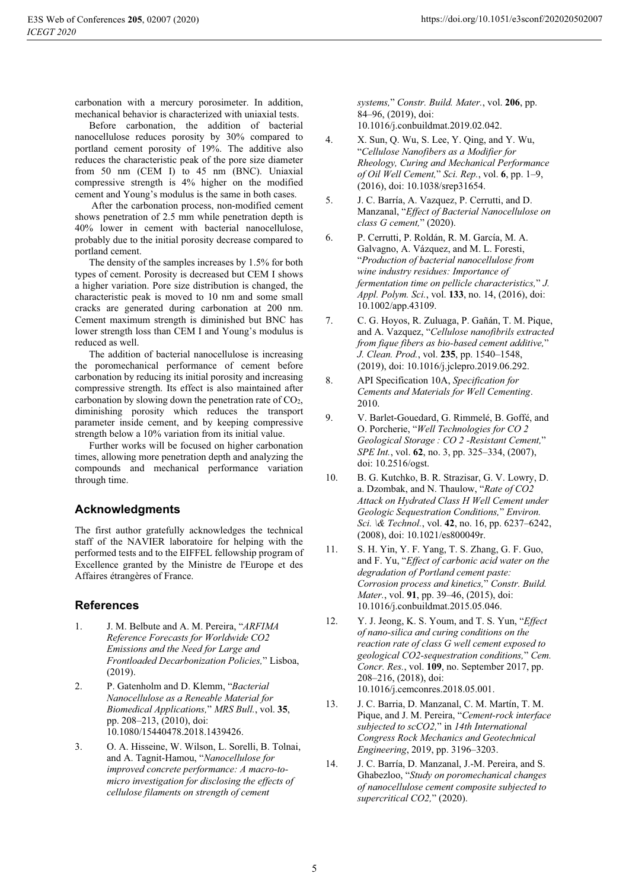Before carbonation, the addition of bacterial nanocellulose reduces porosity by 30% compared to portland cement porosity of 19%. The additive also reduces the characteristic peak of the pore size diameter from 50 nm (CEM I) to 45 nm (BNC). Uniaxial compressive strength is 4% higher on the modified cement and Young's modulus is the same in both cases.

After the carbonation process, non-modified cement shows penetration of 2.5 mm while penetration depth is 40% lower in cement with bacterial nanocellulose. probably due to the initial porosity decrease compared to portland cement.

The density of the samples increases by 1.5% for both types of cement. Porosity is decreased but CEM I shows a higher variation. Pore size distribution is changed, the characteristic peak is moved to 10 nm and some small cracks are generated during carbonation at 200 nm. Cement maximum strength is diminished but BNC has lower strength loss than CEM I and Young's modulus is reduced as well.

The addition of bacterial nanocellulose is increasing the poromechanical performance of cement before carbonation by reducing its initial porosity and increasing compressive strength. Its effect is also maintained after carbonation by slowing down the penetration rate of  $CO<sub>2</sub>$ , diminishing porosity which reduces the transport parameter inside cement, and by keeping compressive strength below a 10% variation from its initial value.

Further works will be focused on higher carbonation times, allowing more penetration depth and analyzing the compounds and mechanical performance variation through time.

# **Acknowledgments**

The first author gratefully acknowledges the technical staff of the NAVIER laboratoire for helping with the performed tests and to the EIFFEL fellowship program of Excellence granted by the Ministre de l'Europe et des Affaires étrangères of France.

## **References**

- $\mathbf{1}$ . J. M. Belbute and A. M. Pereira, "ARFIMA Reference Forecasts for Worldwide CO2 Emissions and the Need for Large and Frontloaded Decarbonization Policies," Lisboa,  $(2019).$
- $\mathcal{D}$ P. Gatenholm and D. Klemm, "Bacterial Nanocellulose as a Reneable Material for Biomedical Applications," MRS Bull., vol. 35, pp. 208-213, (2010), doi: 10.1080/15440478.2018.1439426.
- $\overline{3}$ . O. A. Hisseine, W. Wilson, L. Sorelli, B. Tolnai, and A. Tagnit-Hamou, "Nanocellulose for improved concrete performance: A macro-tomicro investigation for disclosing the effects of cellulose filaments on strength of cement

https://doi.org/10.1051/e3sconf/202020502007

systems," Constr. Build. Mater., vol. 206, pp. 84-96, (2019), doi: 10.1016/j.conbuildmat.2019.02.042.

- $\overline{4}$ . X. Sun, Q. Wu, S. Lee, Y. Qing, and Y. Wu, "Cellulose Nanofibers as a Modifier for Rheology, Curing and Mechanical Performance of Oil Well Cement," Sci. Rep., vol. 6, pp. 1-9, (2016), doi: 10.1038/srep31654.
- 5. J. C. Barría, A. Vazquez, P. Cerrutti, and D. Manzanal, "Effect of Bacterial Nanocellulose on class G cement," (2020).
- 6. P. Cerrutti, P. Roldán, R. M. García, M. A. Galvagno, A. Vázquez, and M. L. Foresti, "Production of bacterial nanocellulose from wine industry residues: Importance of fermentation time on pellicle characteristics," J. *Appl. Polym. Sci.*, vol. 133, no. 14, (2016), doi: 10.1002/app.43109.
- $7.$ C. G. Hoyos, R. Zuluaga, P. Gañán, T. M. Pique, and A. Vazquez, "Cellulose nanofibrils extracted from fique fibers as bio-based cement additive," J. Clean. Prod., vol. 235, pp. 1540-1548, (2019), doi: 10.1016/j.jclepro.2019.06.292.
- API Specification 10A, Specification for 8. Cements and Materials for Well Cementing. 2010.
- 9. V. Barlet-Gouedard, G. Rimmelé, B. Goffé, and O. Porcherie, "Well Technologies for CO 2 Geological Storage : CO 2 - Resistant Cement," SPE Int., vol. 62, no. 3, pp. 325–334, (2007), doi: 10.2516/ogst.
- 10. B. G. Kutchko, B. R. Strazisar, G. V. Lowry, D. a. Dzombak, and N. Thaulow, "Rate of CO2 Attack on Hydrated Class H Well Cement under Geologic Sequestration Conditions," Environ. Sci. \& Technol., vol. 42, no. 16, pp. 6237-6242, (2008), doi: 10.1021/es800049r.
- $11.$ S. H. Yin, Y. F. Yang, T. S. Zhang, G. F. Guo, and F. Yu, "Effect of carbonic acid water on the degradation of Portland cement paste: Corrosion process and kinetics," Constr. Build. Mater., vol. 91, pp. 39-46, (2015), doi: 10.1016/j.conbuildmat.2015.05.046.
- $12.$ Y. J. Jeong, K. S. Youm, and T. S. Yun, "Effect" of nano-silica and curing conditions on the reaction rate of class G well cement exposed to geological CO2-sequestration conditions." Cem. Concr. Res., vol. 109, no. September 2017, pp. 208-216, (2018), doi: 10.1016/j.cemconres.2018.05.001.
- 13. J. C. Barria, D. Manzanal, C. M. Martín, T. M. Pique, and J. M. Pereira, "Cement-rock interface subjected to scCO2," in 14th International Congress Rock Mechanics and Geotechnical Engineering, 2019, pp. 3196-3203.
- 14. J. C. Barría, D. Manzanal, J.-M. Pereira, and S. Ghabezloo, "Study on poromechanical changes of nanocellulose cement composite subjected to supercritical CO2," (2020).